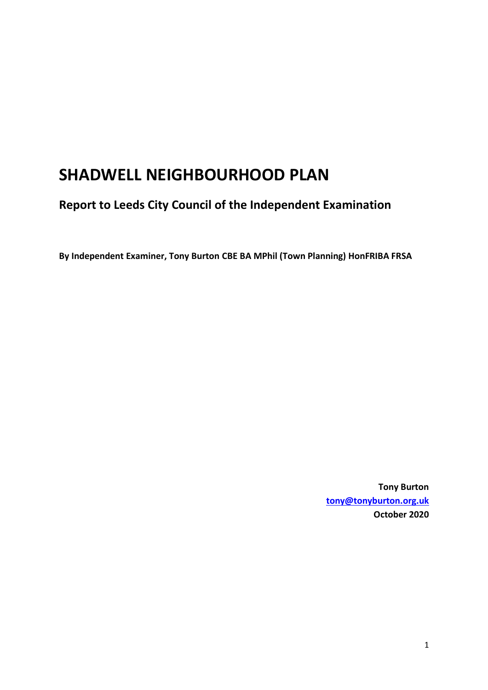# **SHADWELL NEIGHBOURHOOD PLAN**

**Report to Leeds City Council of the Independent Examination**

**By Independent Examiner, Tony Burton CBE BA MPhil (Town Planning) HonFRIBA FRSA**

**Tony Burton [tony@tonyburton.org.uk](mailto:tony@tonyburton.org.uk) October 2020**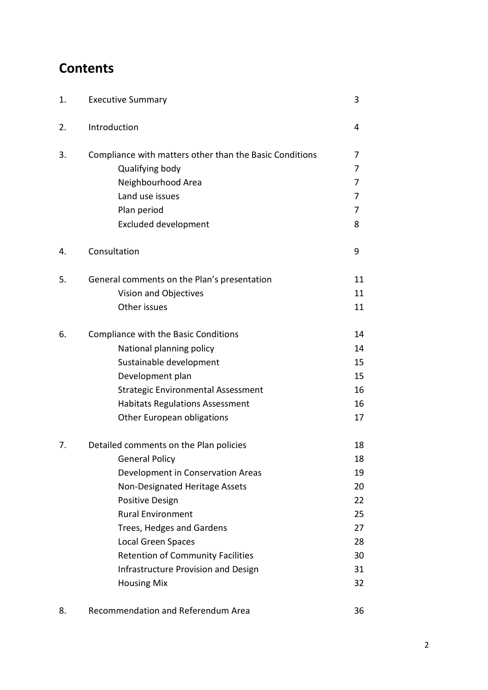## **Contents**

| 1. | <b>Executive Summary</b>                                | 3  |
|----|---------------------------------------------------------|----|
| 2. | Introduction                                            | 4  |
| 3. | Compliance with matters other than the Basic Conditions | 7  |
|    | Qualifying body                                         | 7  |
|    | Neighbourhood Area                                      | 7  |
|    | Land use issues                                         | 7  |
|    | Plan period                                             | 7  |
|    | <b>Excluded development</b>                             | 8  |
| 4. | Consultation                                            | 9  |
| 5. | General comments on the Plan's presentation             | 11 |
|    | Vision and Objectives                                   | 11 |
|    | Other issues                                            | 11 |
| 6. | Compliance with the Basic Conditions                    | 14 |
|    | National planning policy                                | 14 |
|    | Sustainable development                                 | 15 |
|    | Development plan                                        | 15 |
|    | <b>Strategic Environmental Assessment</b>               | 16 |
|    | <b>Habitats Regulations Assessment</b>                  | 16 |
|    | Other European obligations                              | 17 |
| 7. | Detailed comments on the Plan policies                  | 18 |
|    | <b>General Policy</b>                                   | 18 |
|    | Development in Conservation Areas                       | 19 |
|    | Non-Designated Heritage Assets                          | 20 |
|    | Positive Design                                         | 22 |
|    | <b>Rural Environment</b>                                | 25 |
|    | Trees, Hedges and Gardens                               | 27 |
|    | <b>Local Green Spaces</b>                               | 28 |
|    | <b>Retention of Community Facilities</b>                | 30 |
|    | <b>Infrastructure Provision and Design</b>              | 31 |
|    | <b>Housing Mix</b>                                      | 32 |
| 8. | Recommendation and Referendum Area                      | 36 |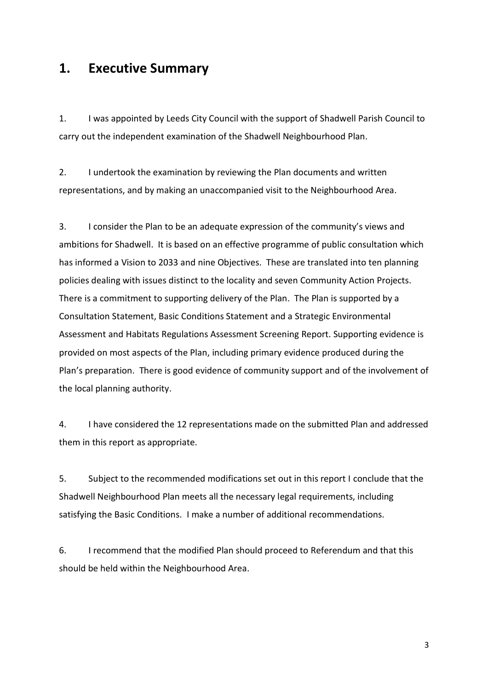### **1. Executive Summary**

1. I was appointed by Leeds City Council with the support of Shadwell Parish Council to carry out the independent examination of the Shadwell Neighbourhood Plan.

2. I undertook the examination by reviewing the Plan documents and written representations, and by making an unaccompanied visit to the Neighbourhood Area.

3. I consider the Plan to be an adequate expression of the community's views and ambitions for Shadwell. It is based on an effective programme of public consultation which has informed a Vision to 2033 and nine Objectives. These are translated into ten planning policies dealing with issues distinct to the locality and seven Community Action Projects. There is a commitment to supporting delivery of the Plan. The Plan is supported by a Consultation Statement, Basic Conditions Statement and a Strategic Environmental Assessment and Habitats Regulations Assessment Screening Report. Supporting evidence is provided on most aspects of the Plan, including primary evidence produced during the Plan's preparation. There is good evidence of community support and of the involvement of the local planning authority.

4. I have considered the 12 representations made on the submitted Plan and addressed them in this report as appropriate.

5. Subject to the recommended modifications set out in this report I conclude that the Shadwell Neighbourhood Plan meets all the necessary legal requirements, including satisfying the Basic Conditions. I make a number of additional recommendations.

6. I recommend that the modified Plan should proceed to Referendum and that this should be held within the Neighbourhood Area.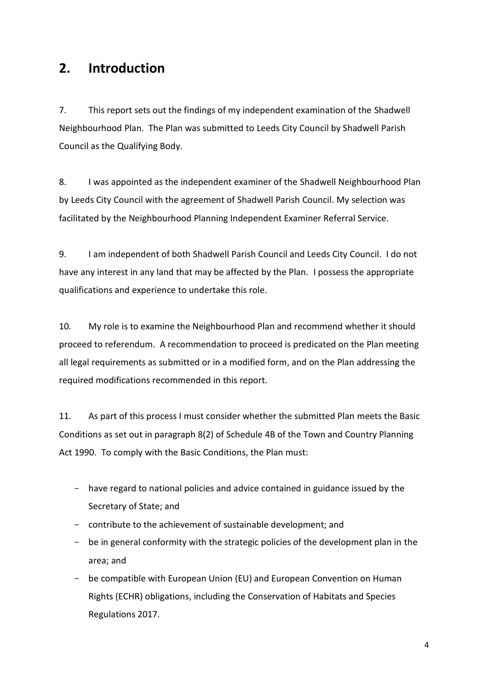### **2. Introduction**

7. This report sets out the findings of my independent examination of the Shadwell Neighbourhood Plan. The Plan was submitted to Leeds City Council by Shadwell Parish Council as the Qualifying Body.

8. I was appointed as the independent examiner of the Shadwell Neighbourhood Plan by Leeds City Council with the agreement of Shadwell Parish Council. My selection was facilitated by the Neighbourhood Planning Independent Examiner Referral Service.

9. I am independent of both Shadwell Parish Council and Leeds City Council. I do not have any interest in any land that may be affected by the Plan. I possess the appropriate qualifications and experience to undertake this role.

10. My role is to examine the Neighbourhood Plan and recommend whether it should proceed to referendum. A recommendation to proceed is predicated on the Plan meeting all legal requirements as submitted or in a modified form, and on the Plan addressing the required modifications recommended in this report.

11. As part of this process I must consider whether the submitted Plan meets the Basic Conditions as set out in paragraph 8(2) of Schedule 4B of the Town and Country Planning Act 1990. To comply with the Basic Conditions, the Plan must:

- have regard to national policies and advice contained in guidance issued by the Secretary of State; and
- contribute to the achievement of sustainable development; and
- be in general conformity with the strategic policies of the development plan in the area; and
- be compatible with European Union (EU) and European Convention on Human Rights (ECHR) obligations, including the Conservation of Habitats and Species Regulations 2017.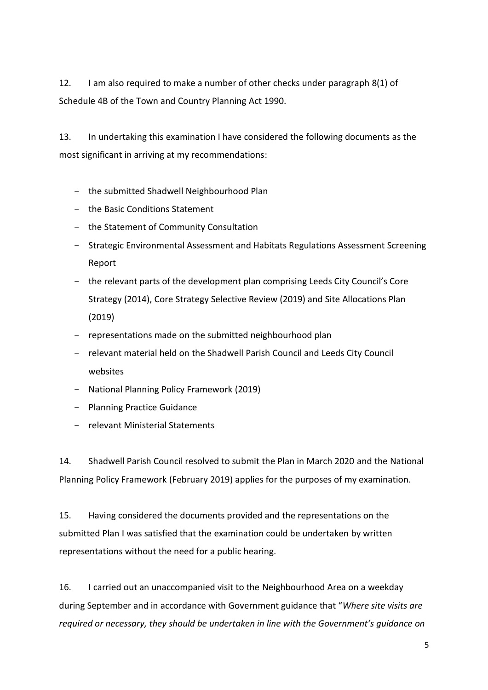12. I am also required to make a number of other checks under paragraph 8(1) of Schedule 4B of the Town and Country Planning Act 1990.

13. In undertaking this examination I have considered the following documents as the most significant in arriving at my recommendations:

- the submitted Shadwell Neighbourhood Plan
- the Basic Conditions Statement
- the Statement of Community Consultation
- Strategic Environmental Assessment and Habitats Regulations Assessment Screening Report
- the relevant parts of the development plan comprising Leeds City Council's Core Strategy (2014), Core Strategy Selective Review (2019) and Site Allocations Plan (2019)
- representations made on the submitted neighbourhood plan
- relevant material held on the Shadwell Parish Council and Leeds City Council websites
- National Planning Policy Framework (2019)
- Planning Practice Guidance
- relevant Ministerial Statements

14. Shadwell Parish Council resolved to submit the Plan in March 2020 and the National Planning Policy Framework (February 2019) applies for the purposes of my examination.

15. Having considered the documents provided and the representations on the submitted Plan I was satisfied that the examination could be undertaken by written representations without the need for a public hearing.

16. I carried out an unaccompanied visit to the Neighbourhood Area on a weekday during September and in accordance with Government guidance that "*Where site visits are required or necessary, they should be undertaken in line with the Government's guidance on*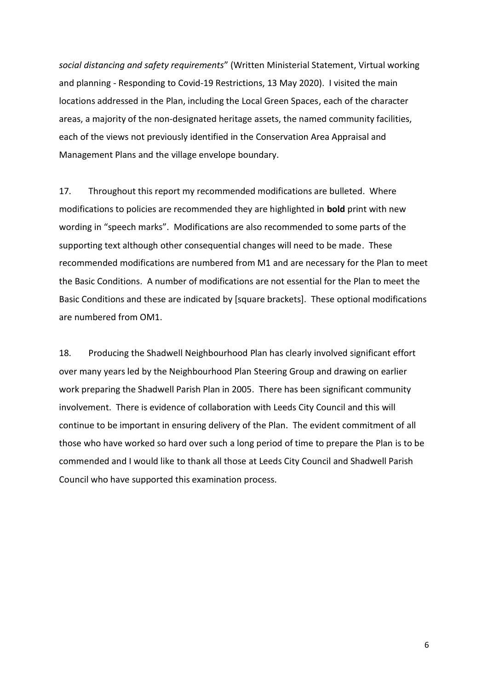*social distancing and safety requirements*" (Written Ministerial Statement, Virtual working and planning - Responding to Covid-19 Restrictions, 13 May 2020). I visited the main locations addressed in the Plan, including the Local Green Spaces, each of the character areas, a majority of the non-designated heritage assets, the named community facilities, each of the views not previously identified in the Conservation Area Appraisal and Management Plans and the village envelope boundary.

17. Throughout this report my recommended modifications are bulleted. Where modifications to policies are recommended they are highlighted in **bold** print with new wording in "speech marks". Modifications are also recommended to some parts of the supporting text although other consequential changes will need to be made. These recommended modifications are numbered from M1 and are necessary for the Plan to meet the Basic Conditions. A number of modifications are not essential for the Plan to meet the Basic Conditions and these are indicated by [square brackets]. These optional modifications are numbered from OM1.

18. Producing the Shadwell Neighbourhood Plan has clearly involved significant effort over many years led by the Neighbourhood Plan Steering Group and drawing on earlier work preparing the Shadwell Parish Plan in 2005. There has been significant community involvement. There is evidence of collaboration with Leeds City Council and this will continue to be important in ensuring delivery of the Plan. The evident commitment of all those who have worked so hard over such a long period of time to prepare the Plan is to be commended and I would like to thank all those at Leeds City Council and Shadwell Parish Council who have supported this examination process.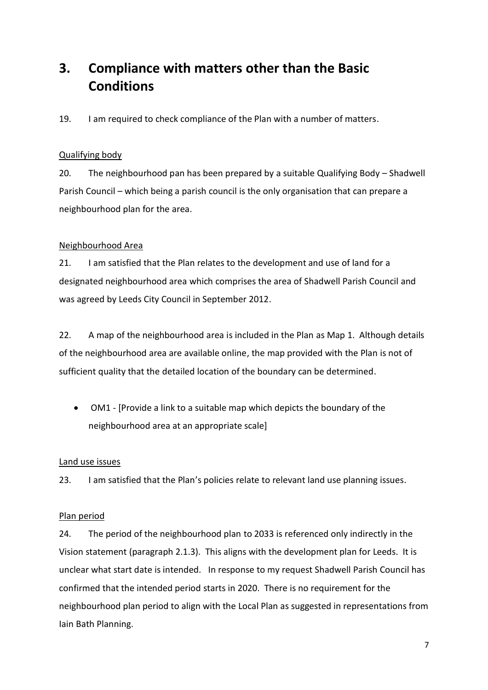## **3. Compliance with matters other than the Basic Conditions**

19. I am required to check compliance of the Plan with a number of matters.

#### Qualifying body

20. The neighbourhood pan has been prepared by a suitable Qualifying Body – Shadwell Parish Council – which being a parish council is the only organisation that can prepare a neighbourhood plan for the area.

#### Neighbourhood Area

21. I am satisfied that the Plan relates to the development and use of land for a designated neighbourhood area which comprises the area of Shadwell Parish Council and was agreed by Leeds City Council in September 2012.

22. A map of the neighbourhood area is included in the Plan as Map 1. Although details of the neighbourhood area are available online, the map provided with the Plan is not of sufficient quality that the detailed location of the boundary can be determined.

 OM1 - [Provide a link to a suitable map which depicts the boundary of the neighbourhood area at an appropriate scale]

#### Land use issues

23. I am satisfied that the Plan's policies relate to relevant land use planning issues.

#### Plan period

24. The period of the neighbourhood plan to 2033 is referenced only indirectly in the Vision statement (paragraph 2.1.3). This aligns with the development plan for Leeds. It is unclear what start date is intended. In response to my request Shadwell Parish Council has confirmed that the intended period starts in 2020. There is no requirement for the neighbourhood plan period to align with the Local Plan as suggested in representations from Iain Bath Planning.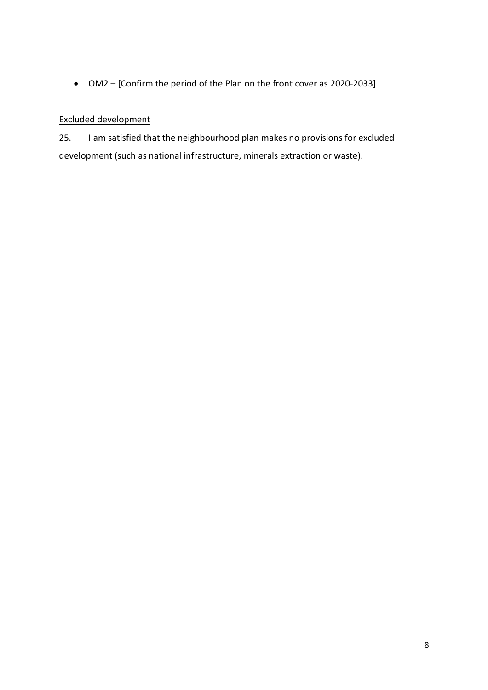OM2 – [Confirm the period of the Plan on the front cover as 2020-2033]

#### Excluded development

25. I am satisfied that the neighbourhood plan makes no provisions for excluded development (such as national infrastructure, minerals extraction or waste).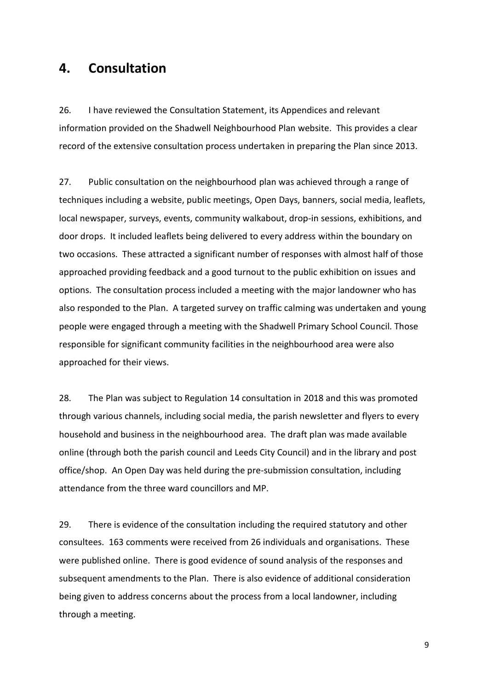### **4. Consultation**

26. I have reviewed the Consultation Statement, its Appendices and relevant information provided on the Shadwell Neighbourhood Plan website. This provides a clear record of the extensive consultation process undertaken in preparing the Plan since 2013.

27. Public consultation on the neighbourhood plan was achieved through a range of techniques including a website, public meetings, Open Days, banners, social media, leaflets, local newspaper, surveys, events, community walkabout, drop-in sessions, exhibitions, and door drops. It included leaflets being delivered to every address within the boundary on two occasions. These attracted a significant number of responses with almost half of those approached providing feedback and a good turnout to the public exhibition on issues and options. The consultation process included a meeting with the major landowner who has also responded to the Plan. A targeted survey on traffic calming was undertaken and young people were engaged through a meeting with the Shadwell Primary School Council. Those responsible for significant community facilities in the neighbourhood area were also approached for their views.

28. The Plan was subject to Regulation 14 consultation in 2018 and this was promoted through various channels, including social media, the parish newsletter and flyers to every household and business in the neighbourhood area. The draft plan was made available online (through both the parish council and Leeds City Council) and in the library and post office/shop. An Open Day was held during the pre-submission consultation, including attendance from the three ward councillors and MP.

29. There is evidence of the consultation including the required statutory and other consultees. 163 comments were received from 26 individuals and organisations. These were published online. There is good evidence of sound analysis of the responses and subsequent amendments to the Plan. There is also evidence of additional consideration being given to address concerns about the process from a local landowner, including through a meeting.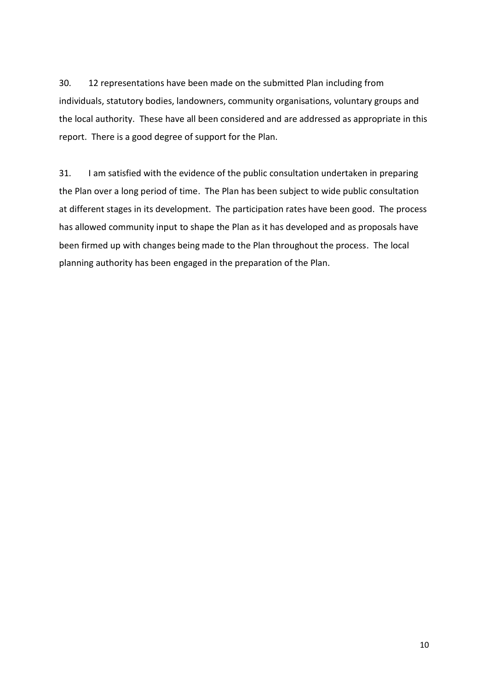30. 12 representations have been made on the submitted Plan including from individuals, statutory bodies, landowners, community organisations, voluntary groups and the local authority. These have all been considered and are addressed as appropriate in this report. There is a good degree of support for the Plan.

31. I am satisfied with the evidence of the public consultation undertaken in preparing the Plan over a long period of time. The Plan has been subject to wide public consultation at different stages in its development. The participation rates have been good. The process has allowed community input to shape the Plan as it has developed and as proposals have been firmed up with changes being made to the Plan throughout the process. The local planning authority has been engaged in the preparation of the Plan.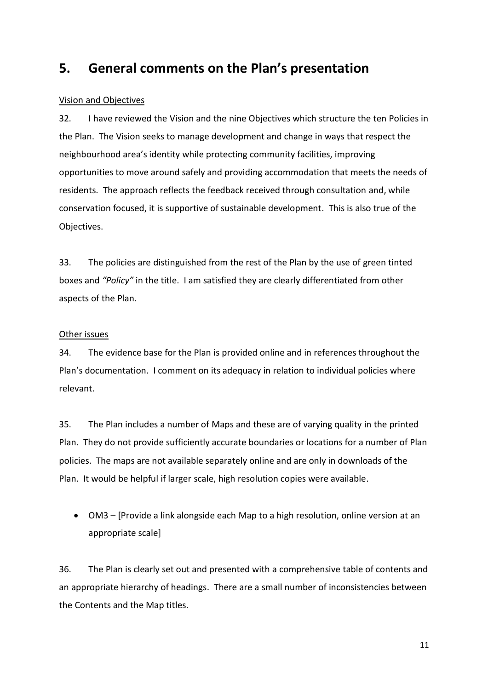### **5. General comments on the Plan's presentation**

#### Vision and Objectives

32. I have reviewed the Vision and the nine Objectives which structure the ten Policies in the Plan. The Vision seeks to manage development and change in ways that respect the neighbourhood area's identity while protecting community facilities, improving opportunities to move around safely and providing accommodation that meets the needs of residents. The approach reflects the feedback received through consultation and, while conservation focused, it is supportive of sustainable development. This is also true of the Objectives.

33. The policies are distinguished from the rest of the Plan by the use of green tinted boxes and *"Policy"* in the title. I am satisfied they are clearly differentiated from other aspects of the Plan.

#### Other issues

34. The evidence base for the Plan is provided online and in references throughout the Plan's documentation. I comment on its adequacy in relation to individual policies where relevant.

35. The Plan includes a number of Maps and these are of varying quality in the printed Plan. They do not provide sufficiently accurate boundaries or locations for a number of Plan policies. The maps are not available separately online and are only in downloads of the Plan. It would be helpful if larger scale, high resolution copies were available.

 OM3 – [Provide a link alongside each Map to a high resolution, online version at an appropriate scale]

36. The Plan is clearly set out and presented with a comprehensive table of contents and an appropriate hierarchy of headings. There are a small number of inconsistencies between the Contents and the Map titles.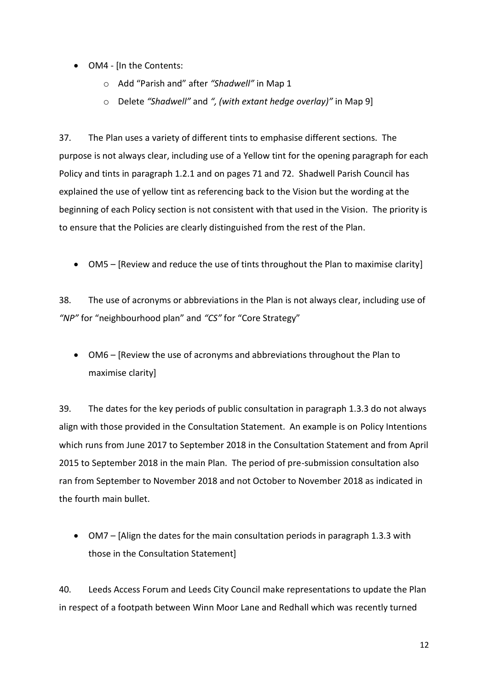- OM4 [In the Contents:
	- o Add "Parish and" after *"Shadwell"* in Map 1
	- o Delete *"Shadwell"* and *", (with extant hedge overlay)"* in Map 9]

37. The Plan uses a variety of different tints to emphasise different sections. The purpose is not always clear, including use of a Yellow tint for the opening paragraph for each Policy and tints in paragraph 1.2.1 and on pages 71 and 72. Shadwell Parish Council has explained the use of yellow tint as referencing back to the Vision but the wording at the beginning of each Policy section is not consistent with that used in the Vision. The priority is to ensure that the Policies are clearly distinguished from the rest of the Plan.

OM5 – [Review and reduce the use of tints throughout the Plan to maximise clarity]

38. The use of acronyms or abbreviations in the Plan is not always clear, including use of *"NP"* for "neighbourhood plan" and *"CS"* for "Core Strategy"

 OM6 – [Review the use of acronyms and abbreviations throughout the Plan to maximise clarity]

39. The dates for the key periods of public consultation in paragraph 1.3.3 do not always align with those provided in the Consultation Statement. An example is on Policy Intentions which runs from June 2017 to September 2018 in the Consultation Statement and from April 2015 to September 2018 in the main Plan. The period of pre-submission consultation also ran from September to November 2018 and not October to November 2018 as indicated in the fourth main bullet.

 OM7 – [Align the dates for the main consultation periods in paragraph 1.3.3 with those in the Consultation Statement]

40. Leeds Access Forum and Leeds City Council make representations to update the Plan in respect of a footpath between Winn Moor Lane and Redhall which was recently turned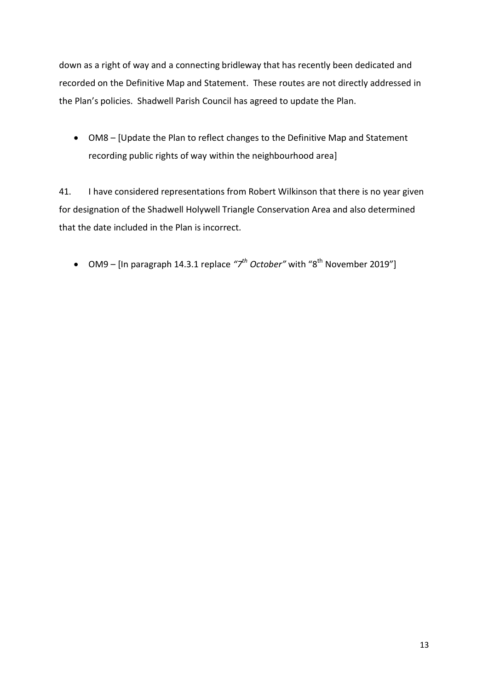down as a right of way and a connecting bridleway that has recently been dedicated and recorded on the Definitive Map and Statement. These routes are not directly addressed in the Plan's policies. Shadwell Parish Council has agreed to update the Plan.

 OM8 – [Update the Plan to reflect changes to the Definitive Map and Statement recording public rights of way within the neighbourhood area]

41. I have considered representations from Robert Wilkinson that there is no year given for designation of the Shadwell Holywell Triangle Conservation Area and also determined that the date included in the Plan is incorrect.

• OM9 – [In paragraph 14.3.1 replace  $\tilde{z}$ <sup>th</sup> October" with "8<sup>th</sup> November 2019"]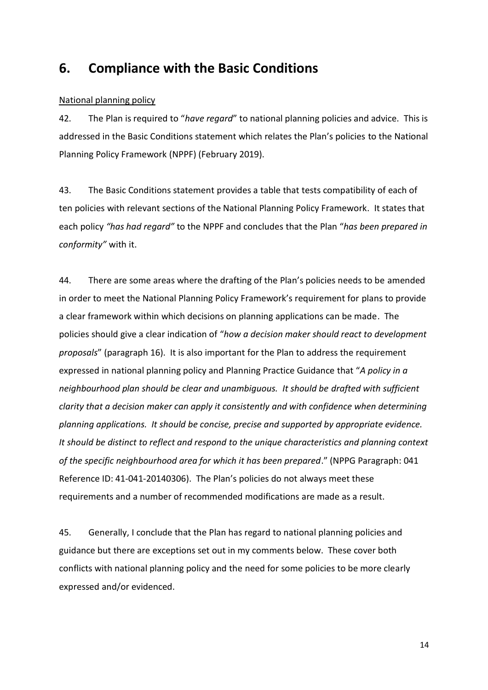### **6. Compliance with the Basic Conditions**

#### National planning policy

42. The Plan is required to "*have regard*" to national planning policies and advice. This is addressed in the Basic Conditions statement which relates the Plan's policies to the National Planning Policy Framework (NPPF) (February 2019).

43. The Basic Conditions statement provides a table that tests compatibility of each of ten policies with relevant sections of the National Planning Policy Framework. It states that each policy *"has had regard"* to the NPPF and concludes that the Plan "*has been prepared in conformity"* with it.

44. There are some areas where the drafting of the Plan's policies needs to be amended in order to meet the National Planning Policy Framework's requirement for plans to provide a clear framework within which decisions on planning applications can be made. The policies should give a clear indication of "*how a decision maker should react to development proposals*" (paragraph 16). It is also important for the Plan to address the requirement expressed in national planning policy and Planning Practice Guidance that "*A policy in a neighbourhood plan should be clear and unambiguous. It should be drafted with sufficient clarity that a decision maker can apply it consistently and with confidence when determining planning applications. It should be concise, precise and supported by appropriate evidence. It should be distinct to reflect and respond to the unique characteristics and planning context of the specific neighbourhood area for which it has been prepared*." (NPPG Paragraph: 041 Reference ID: 41-041-20140306). The Plan's policies do not always meet these requirements and a number of recommended modifications are made as a result.

45. Generally, I conclude that the Plan has regard to national planning policies and guidance but there are exceptions set out in my comments below. These cover both conflicts with national planning policy and the need for some policies to be more clearly expressed and/or evidenced.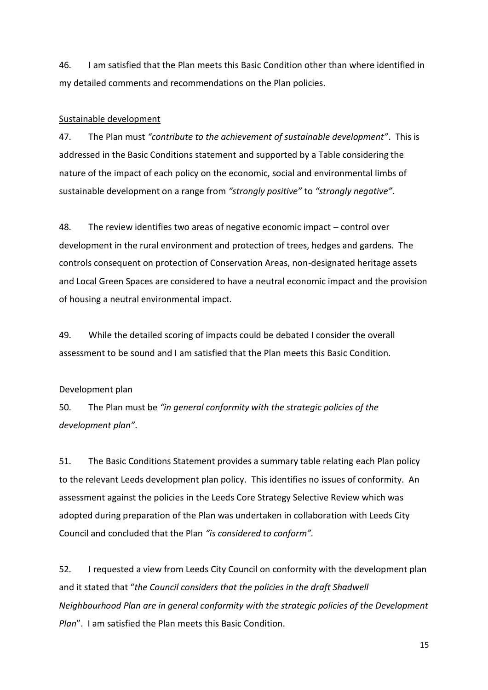46. I am satisfied that the Plan meets this Basic Condition other than where identified in my detailed comments and recommendations on the Plan policies.

#### Sustainable development

47. The Plan must *"contribute to the achievement of sustainable development"*. This is addressed in the Basic Conditions statement and supported by a Table considering the nature of the impact of each policy on the economic, social and environmental limbs of sustainable development on a range from *"strongly positive"* to *"strongly negative"*.

48. The review identifies two areas of negative economic impact – control over development in the rural environment and protection of trees, hedges and gardens. The controls consequent on protection of Conservation Areas, non-designated heritage assets and Local Green Spaces are considered to have a neutral economic impact and the provision of housing a neutral environmental impact.

49. While the detailed scoring of impacts could be debated I consider the overall assessment to be sound and I am satisfied that the Plan meets this Basic Condition.

#### Development plan

50. The Plan must be *"in general conformity with the strategic policies of the development plan"*.

51. The Basic Conditions Statement provides a summary table relating each Plan policy to the relevant Leeds development plan policy. This identifies no issues of conformity. An assessment against the policies in the Leeds Core Strategy Selective Review which was adopted during preparation of the Plan was undertaken in collaboration with Leeds City Council and concluded that the Plan *"is considered to conform".*

52. I requested a view from Leeds City Council on conformity with the development plan and it stated that "*the Council considers that the policies in the draft Shadwell Neighbourhood Plan are in general conformity with the strategic policies of the Development Plan*". I am satisfied the Plan meets this Basic Condition.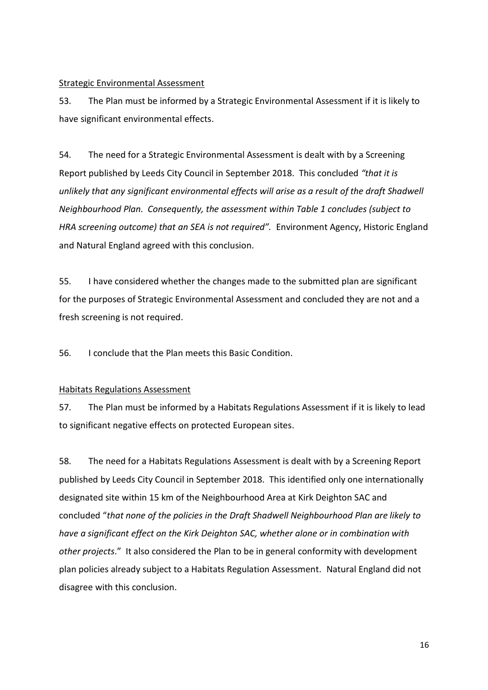#### Strategic Environmental Assessment

53. The Plan must be informed by a Strategic Environmental Assessment if it is likely to have significant environmental effects.

54. The need for a Strategic Environmental Assessment is dealt with by a Screening Report published by Leeds City Council in September 2018. This concluded *"that it is unlikely that any significant environmental effects will arise as a result of the draft Shadwell Neighbourhood Plan. Consequently, the assessment within Table 1 concludes (subject to HRA screening outcome) that an SEA is not required".* Environment Agency, Historic England and Natural England agreed with this conclusion.

55. I have considered whether the changes made to the submitted plan are significant for the purposes of Strategic Environmental Assessment and concluded they are not and a fresh screening is not required.

56. I conclude that the Plan meets this Basic Condition.

#### Habitats Regulations Assessment

57. The Plan must be informed by a Habitats Regulations Assessment if it is likely to lead to significant negative effects on protected European sites.

58. The need for a Habitats Regulations Assessment is dealt with by a Screening Report published by Leeds City Council in September 2018. This identified only one internationally designated site within 15 km of the Neighbourhood Area at Kirk Deighton SAC and concluded "*that none of the policies in the Draft Shadwell Neighbourhood Plan are likely to have a significant effect on the Kirk Deighton SAC, whether alone or in combination with other projects*." It also considered the Plan to be in general conformity with development plan policies already subject to a Habitats Regulation Assessment. Natural England did not disagree with this conclusion.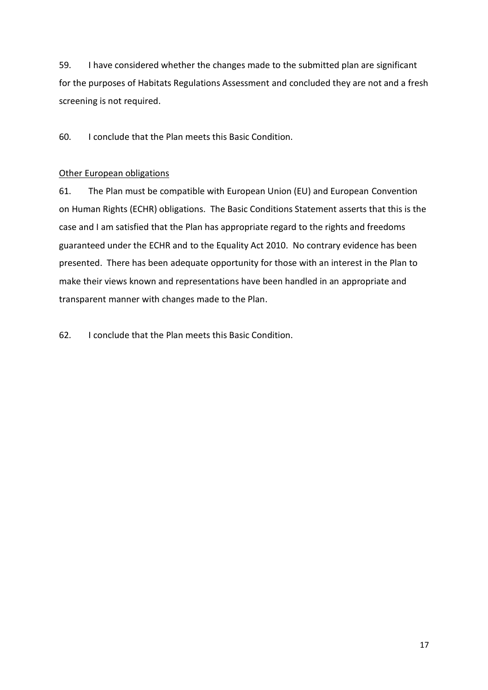59. I have considered whether the changes made to the submitted plan are significant for the purposes of Habitats Regulations Assessment and concluded they are not and a fresh screening is not required.

60. I conclude that the Plan meets this Basic Condition.

#### Other European obligations

61. The Plan must be compatible with European Union (EU) and European Convention on Human Rights (ECHR) obligations. The Basic Conditions Statement asserts that this is the case and I am satisfied that the Plan has appropriate regard to the rights and freedoms guaranteed under the ECHR and to the Equality Act 2010. No contrary evidence has been presented. There has been adequate opportunity for those with an interest in the Plan to make their views known and representations have been handled in an appropriate and transparent manner with changes made to the Plan.

62. I conclude that the Plan meets this Basic Condition.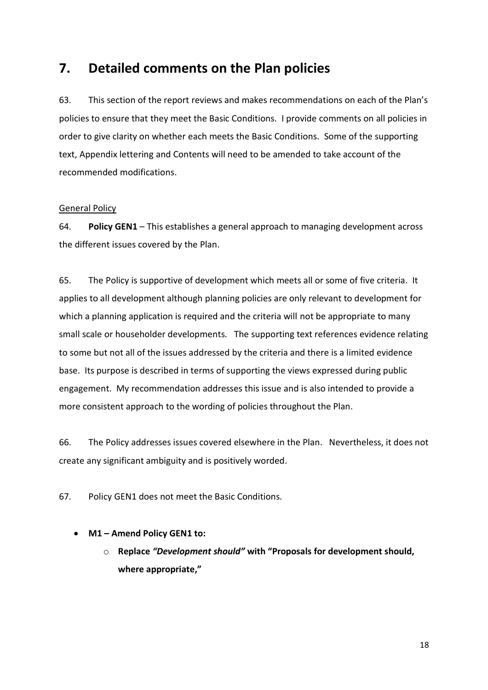### **7. Detailed comments on the Plan policies**

63. This section of the report reviews and makes recommendations on each of the Plan's policies to ensure that they meet the Basic Conditions. I provide comments on all policies in order to give clarity on whether each meets the Basic Conditions. Some of the supporting text, Appendix lettering and Contents will need to be amended to take account of the recommended modifications.

#### General Policy

64. **Policy GEN1** – This establishes a general approach to managing development across the different issues covered by the Plan.

65. The Policy is supportive of development which meets all or some of five criteria. It applies to all development although planning policies are only relevant to development for which a planning application is required and the criteria will not be appropriate to many small scale or householder developments. The supporting text references evidence relating to some but not all of the issues addressed by the criteria and there is a limited evidence base. Its purpose is described in terms of supporting the views expressed during public engagement. My recommendation addresses this issue and is also intended to provide a more consistent approach to the wording of policies throughout the Plan.

66. The Policy addresses issues covered elsewhere in the Plan. Nevertheless, it does not create any significant ambiguity and is positively worded.

67. Policy GEN1 does not meet the Basic Conditions.

#### **M1 – Amend Policy GEN1 to:**

o **Replace** *"Development should"* **with "Proposals for development should, where appropriate,"**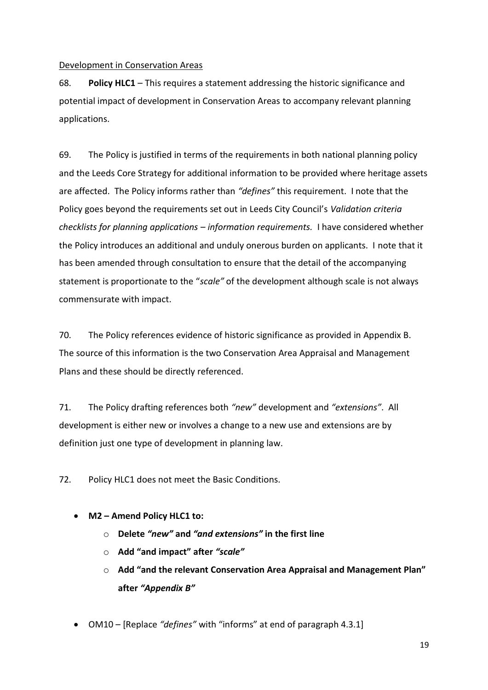#### Development in Conservation Areas

68. **Policy HLC1** – This requires a statement addressing the historic significance and potential impact of development in Conservation Areas to accompany relevant planning applications.

69. The Policy is justified in terms of the requirements in both national planning policy and the Leeds Core Strategy for additional information to be provided where heritage assets are affected. The Policy informs rather than *"defines"* this requirement. I note that the Policy goes beyond the requirements set out in Leeds City Council's *Validation criteria checklists for planning applications – information requirements.* I have considered whether the Policy introduces an additional and unduly onerous burden on applicants. I note that it has been amended through consultation to ensure that the detail of the accompanying statement is proportionate to the "*scale"* of the development although scale is not always commensurate with impact.

70. The Policy references evidence of historic significance as provided in Appendix B. The source of this information is the two Conservation Area Appraisal and Management Plans and these should be directly referenced.

71. The Policy drafting references both *"new"* development and *"extensions"*. All development is either new or involves a change to a new use and extensions are by definition just one type of development in planning law.

72. Policy HLC1 does not meet the Basic Conditions.

- **M2 – Amend Policy HLC1 to:**
	- o **Delete** *"new"* **and** *"and extensions"* **in the first line**
	- o **Add "and impact" after** *"scale"*
	- o **Add "and the relevant Conservation Area Appraisal and Management Plan" after** *"Appendix B"*
- OM10 [Replace *"defines"* with "informs" at end of paragraph 4.3.1]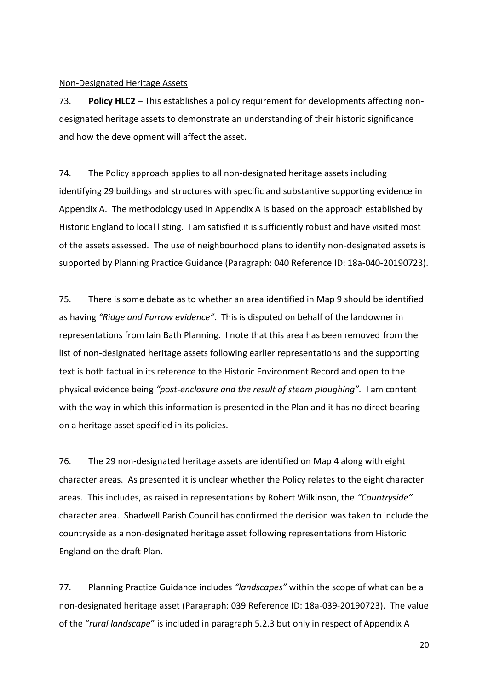#### Non-Designated Heritage Assets

73. **Policy HLC2** – This establishes a policy requirement for developments affecting nondesignated heritage assets to demonstrate an understanding of their historic significance and how the development will affect the asset.

74. The Policy approach applies to all non-designated heritage assets including identifying 29 buildings and structures with specific and substantive supporting evidence in Appendix A. The methodology used in Appendix A is based on the approach established by Historic England to local listing. I am satisfied it is sufficiently robust and have visited most of the assets assessed. The use of neighbourhood plans to identify non-designated assets is supported by Planning Practice Guidance (Paragraph: 040 Reference ID: 18a-040-20190723).

75. There is some debate as to whether an area identified in Map 9 should be identified as having *"Ridge and Furrow evidence"*. This is disputed on behalf of the landowner in representations from Iain Bath Planning. I note that this area has been removed from the list of non-designated heritage assets following earlier representations and the supporting text is both factual in its reference to the Historic Environment Record and open to the physical evidence being *"post-enclosure and the result of steam ploughing".* I am content with the way in which this information is presented in the Plan and it has no direct bearing on a heritage asset specified in its policies.

76. The 29 non-designated heritage assets are identified on Map 4 along with eight character areas. As presented it is unclear whether the Policy relates to the eight character areas. This includes, as raised in representations by Robert Wilkinson, the *"Countryside"*  character area. Shadwell Parish Council has confirmed the decision was taken to include the countryside as a non-designated heritage asset following representations from Historic England on the draft Plan.

77. Planning Practice Guidance includes *"landscapes"* within the scope of what can be a non-designated heritage asset (Paragraph: 039 Reference ID: 18a-039-20190723). The value of the "*rural landscape*" is included in paragraph 5.2.3 but only in respect of Appendix A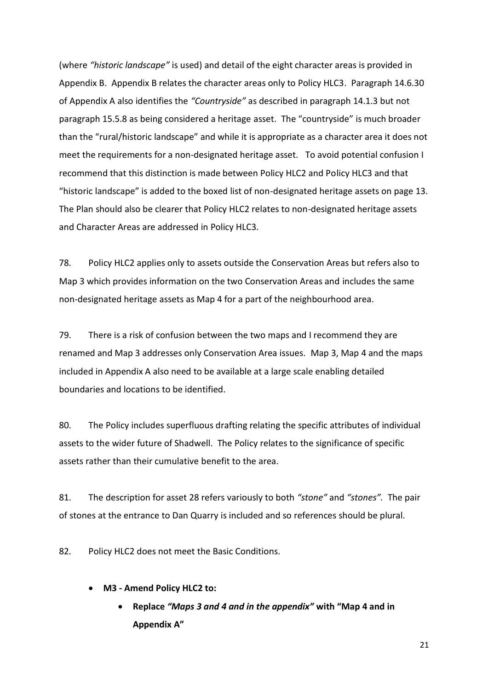(where *"historic landscape"* is used) and detail of the eight character areas is provided in Appendix B. Appendix B relates the character areas only to Policy HLC3. Paragraph 14.6.30 of Appendix A also identifies the *"Countryside"* as described in paragraph 14.1.3 but not paragraph 15.5.8 as being considered a heritage asset. The "countryside" is much broader than the "rural/historic landscape" and while it is appropriate as a character area it does not meet the requirements for a non-designated heritage asset. To avoid potential confusion I recommend that this distinction is made between Policy HLC2 and Policy HLC3 and that "historic landscape" is added to the boxed list of non-designated heritage assets on page 13. The Plan should also be clearer that Policy HLC2 relates to non-designated heritage assets and Character Areas are addressed in Policy HLC3.

78. Policy HLC2 applies only to assets outside the Conservation Areas but refers also to Map 3 which provides information on the two Conservation Areas and includes the same non-designated heritage assets as Map 4 for a part of the neighbourhood area.

79. There is a risk of confusion between the two maps and I recommend they are renamed and Map 3 addresses only Conservation Area issues. Map 3, Map 4 and the maps included in Appendix A also need to be available at a large scale enabling detailed boundaries and locations to be identified.

80. The Policy includes superfluous drafting relating the specific attributes of individual assets to the wider future of Shadwell. The Policy relates to the significance of specific assets rather than their cumulative benefit to the area.

81. The description for asset 28 refers variously to both *"stone"* and *"stones".* The pair of stones at the entrance to Dan Quarry is included and so references should be plural.

82. Policy HLC2 does not meet the Basic Conditions.

- **M3 - Amend Policy HLC2 to:**
	- **Replace** *"Maps 3 and 4 and in the appendix"* **with "Map 4 and in Appendix A"**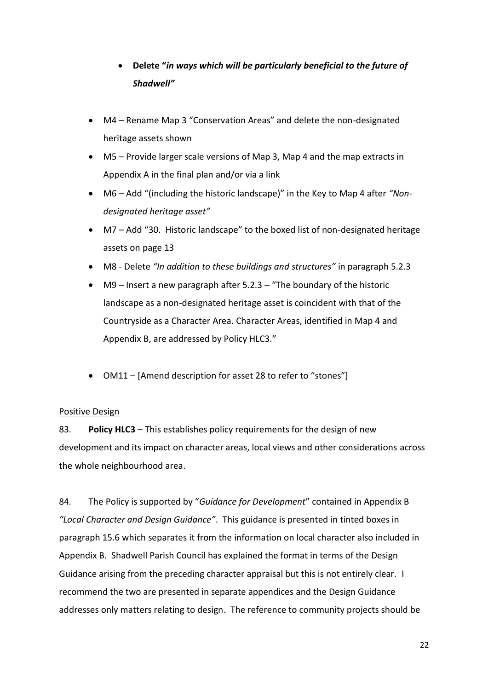### **Delete "***in ways which will be particularly beneficial to the future of Shadwell"*

- M4 Rename Map 3 "Conservation Areas" and delete the non-designated heritage assets shown
- M5 Provide larger scale versions of Map 3, Map 4 and the map extracts in Appendix A in the final plan and/or via a link
- M6 Add "(including the historic landscape)" in the Key to Map 4 after *"Nondesignated heritage asset"*
- M7 Add "30. Historic landscape" to the boxed list of non-designated heritage assets on page 13
- M8 Delete *"In addition to these buildings and structures"* in paragraph 5.2.3
- M9 Insert a new paragraph after 5.2.3 "The boundary of the historic landscape as a non-designated heritage asset is coincident with that of the Countryside as a Character Area. Character Areas, identified in Map 4 and Appendix B, are addressed by Policy HLC3."
- OM11 [Amend description for asset 28 to refer to "stones"]

#### Positive Design

83. **Policy HLC3** – This establishes policy requirements for the design of new development and its impact on character areas, local views and other considerations across the whole neighbourhood area.

84. The Policy is supported by "*Guidance for Development*" contained in Appendix B *"Local Character and Design Guidance"*. This guidance is presented in tinted boxes in paragraph 15.6 which separates it from the information on local character also included in Appendix B. Shadwell Parish Council has explained the format in terms of the Design Guidance arising from the preceding character appraisal but this is not entirely clear. I recommend the two are presented in separate appendices and the Design Guidance addresses only matters relating to design. The reference to community projects should be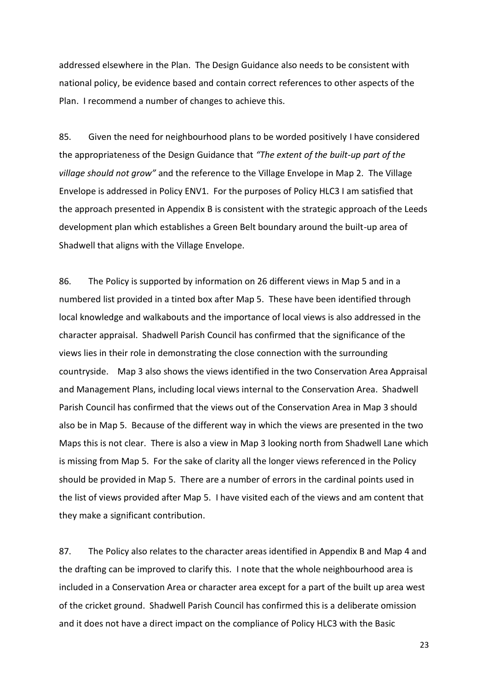addressed elsewhere in the Plan. The Design Guidance also needs to be consistent with national policy, be evidence based and contain correct references to other aspects of the Plan. I recommend a number of changes to achieve this.

85. Given the need for neighbourhood plans to be worded positively I have considered the appropriateness of the Design Guidance that *"The extent of the built-up part of the village should not grow"* and the reference to the Village Envelope in Map 2*.* The Village Envelope is addressed in Policy ENV1. For the purposes of Policy HLC3 I am satisfied that the approach presented in Appendix B is consistent with the strategic approach of the Leeds development plan which establishes a Green Belt boundary around the built-up area of Shadwell that aligns with the Village Envelope.

86. The Policy is supported by information on 26 different views in Map 5 and in a numbered list provided in a tinted box after Map 5. These have been identified through local knowledge and walkabouts and the importance of local views is also addressed in the character appraisal. Shadwell Parish Council has confirmed that the significance of the views lies in their role in demonstrating the close connection with the surrounding countryside. Map 3 also shows the views identified in the two Conservation Area Appraisal and Management Plans, including local views internal to the Conservation Area. Shadwell Parish Council has confirmed that the views out of the Conservation Area in Map 3 should also be in Map 5. Because of the different way in which the views are presented in the two Maps this is not clear. There is also a view in Map 3 looking north from Shadwell Lane which is missing from Map 5. For the sake of clarity all the longer views referenced in the Policy should be provided in Map 5. There are a number of errors in the cardinal points used in the list of views provided after Map 5. I have visited each of the views and am content that they make a significant contribution.

87. The Policy also relates to the character areas identified in Appendix B and Map 4 and the drafting can be improved to clarify this. I note that the whole neighbourhood area is included in a Conservation Area or character area except for a part of the built up area west of the cricket ground. Shadwell Parish Council has confirmed this is a deliberate omission and it does not have a direct impact on the compliance of Policy HLC3 with the Basic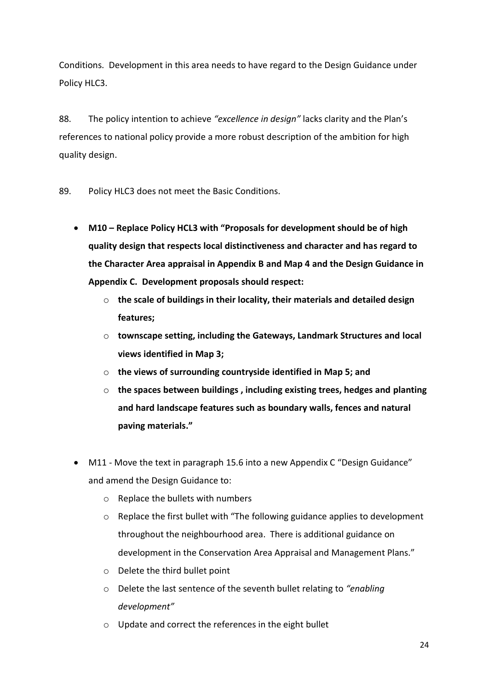Conditions. Development in this area needs to have regard to the Design Guidance under Policy HLC3.

88. The policy intention to achieve *"excellence in design"* lacks clarity and the Plan's references to national policy provide a more robust description of the ambition for high quality design.

89. Policy HLC3 does not meet the Basic Conditions.

- **M10 – Replace Policy HCL3 with "Proposals for development should be of high quality design that respects local distinctiveness and character and has regard to the Character Area appraisal in Appendix B and Map 4 and the Design Guidance in Appendix C. Development proposals should respect:**
	- o **the scale of buildings in their locality, their materials and detailed design features;**
	- o **townscape setting, including the Gateways, Landmark Structures and local views identified in Map 3;**
	- o **the views of surrounding countryside identified in Map 5; and**
	- o **the spaces between buildings , including existing trees, hedges and planting and hard landscape features such as boundary walls, fences and natural paving materials."**
- M11 Move the text in paragraph 15.6 into a new Appendix C "Design Guidance" and amend the Design Guidance to:
	- o Replace the bullets with numbers
	- $\circ$  Replace the first bullet with "The following guidance applies to development throughout the neighbourhood area. There is additional guidance on development in the Conservation Area Appraisal and Management Plans."
	- o Delete the third bullet point
	- o Delete the last sentence of the seventh bullet relating to *"enabling development"*
	- o Update and correct the references in the eight bullet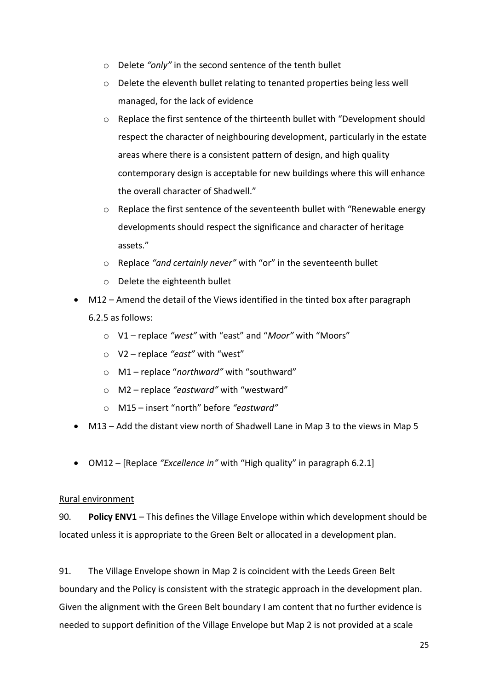- o Delete *"only"* in the second sentence of the tenth bullet
- o Delete the eleventh bullet relating to tenanted properties being less well managed, for the lack of evidence
- $\circ$  Replace the first sentence of the thirteenth bullet with "Development should respect the character of neighbouring development, particularly in the estate areas where there is a consistent pattern of design, and high quality contemporary design is acceptable for new buildings where this will enhance the overall character of Shadwell."
- $\circ$  Replace the first sentence of the seventeenth bullet with "Renewable energy developments should respect the significance and character of heritage assets."
- o Replace *"and certainly never"* with "or" in the seventeenth bullet
- o Delete the eighteenth bullet
- M12 Amend the detail of the Views identified in the tinted box after paragraph 6.2.5 as follows:
	- o V1 replace *"west"* with "east" and "*Moor"* with "Moors"
	- o V2 replace *"east"* with "west"
	- o M1 replace "*northward"* with "southward"
	- o M2 replace *"eastward"* with "westward"
	- o M15 insert "north" before *"eastward"*
- M13 Add the distant view north of Shadwell Lane in Map 3 to the views in Map 5
- OM12 [Replace *"Excellence in"* with "High quality" in paragraph 6.2.1]

#### Rural environment

90. **Policy ENV1** – This defines the Village Envelope within which development should be located unless it is appropriate to the Green Belt or allocated in a development plan.

91. The Village Envelope shown in Map 2 is coincident with the Leeds Green Belt boundary and the Policy is consistent with the strategic approach in the development plan. Given the alignment with the Green Belt boundary I am content that no further evidence is needed to support definition of the Village Envelope but Map 2 is not provided at a scale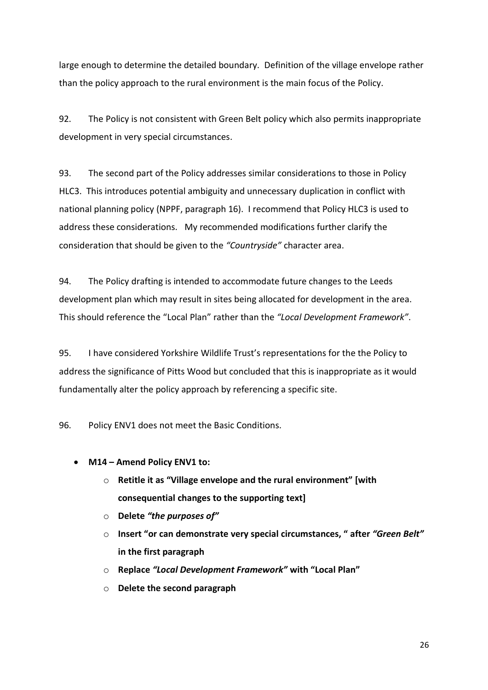large enough to determine the detailed boundary. Definition of the village envelope rather than the policy approach to the rural environment is the main focus of the Policy.

92. The Policy is not consistent with Green Belt policy which also permits inappropriate development in very special circumstances.

93. The second part of the Policy addresses similar considerations to those in Policy HLC3. This introduces potential ambiguity and unnecessary duplication in conflict with national planning policy (NPPF, paragraph 16). I recommend that Policy HLC3 is used to address these considerations. My recommended modifications further clarify the consideration that should be given to the *"Countryside"* character area.

94. The Policy drafting is intended to accommodate future changes to the Leeds development plan which may result in sites being allocated for development in the area. This should reference the "Local Plan" rather than the *"Local Development Framework"*.

95. I have considered Yorkshire Wildlife Trust's representations for the the Policy to address the significance of Pitts Wood but concluded that this is inappropriate as it would fundamentally alter the policy approach by referencing a specific site.

96. Policy ENV1 does not meet the Basic Conditions.

- **M14 – Amend Policy ENV1 to:**
	- o **Retitle it as "Village envelope and the rural environment" [with consequential changes to the supporting text]**
	- o **Delete** *"the purposes of"*
	- o **Insert "or can demonstrate very special circumstances, " after** *"Green Belt"*  **in the first paragraph**
	- o **Replace** *"Local Development Framework"* **with "Local Plan"**
	- o **Delete the second paragraph**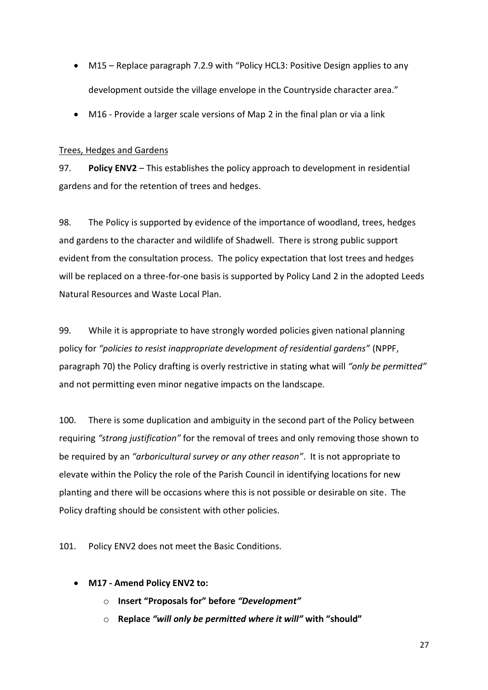- M15 Replace paragraph 7.2.9 with "Policy HCL3: Positive Design applies to any development outside the village envelope in the Countryside character area."
- M16 Provide a larger scale versions of Map 2 in the final plan or via a link

#### Trees, Hedges and Gardens

97. **Policy ENV2** – This establishes the policy approach to development in residential gardens and for the retention of trees and hedges.

98. The Policy is supported by evidence of the importance of woodland, trees, hedges and gardens to the character and wildlife of Shadwell. There is strong public support evident from the consultation process. The policy expectation that lost trees and hedges will be replaced on a three-for-one basis is supported by Policy Land 2 in the adopted Leeds Natural Resources and Waste Local Plan.

99. While it is appropriate to have strongly worded policies given national planning policy for *"policies to resist inappropriate development of residential gardens"* (NPPF, paragraph 70) the Policy drafting is overly restrictive in stating what will *"only be permitted"*  and not permitting even minor negative impacts on the landscape.

100. There is some duplication and ambiguity in the second part of the Policy between requiring *"strong justification"* for the removal of trees and only removing those shown to be required by an *"arboricultural survey or any other reason"*. It is not appropriate to elevate within the Policy the role of the Parish Council in identifying locations for new planting and there will be occasions where this is not possible or desirable on site. The Policy drafting should be consistent with other policies.

101. Policy ENV2 does not meet the Basic Conditions.

- **M17 - Amend Policy ENV2 to:**
	- o **Insert "Proposals for" before** *"Development"*
	- o **Replace** *"will only be permitted where it will"* **with "should"**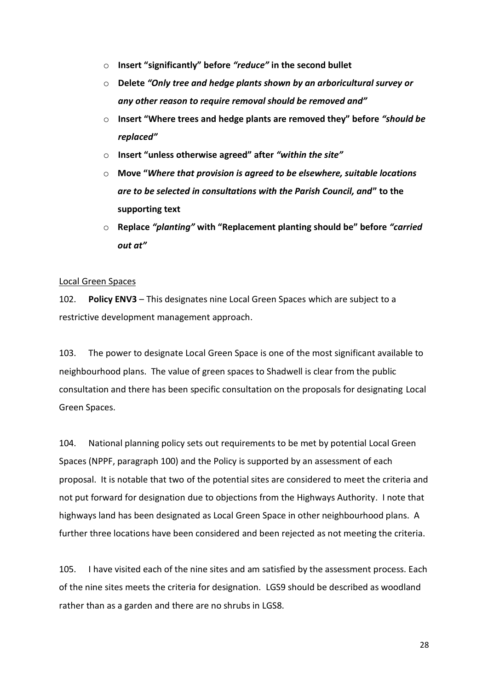- o **Insert "significantly" before** *"reduce"* **in the second bullet**
- o **Delete** *"Only tree and hedge plants shown by an arboricultural survey or any other reason to require removal should be removed and"*
- o **Insert "Where trees and hedge plants are removed they" before** *"should be replaced"*
- o **Insert "unless otherwise agreed" after** *"within the site"*
- o **Move "***Where that provision is agreed to be elsewhere, suitable locations are to be selected in consultations with the Parish Council, and***" to the supporting text**
- o **Replace** *"planting"* **with "Replacement planting should be" before** *"carried out at"*

#### Local Green Spaces

102. **Policy ENV3** – This designates nine Local Green Spaces which are subject to a restrictive development management approach.

103. The power to designate Local Green Space is one of the most significant available to neighbourhood plans. The value of green spaces to Shadwell is clear from the public consultation and there has been specific consultation on the proposals for designating Local Green Spaces.

104. National planning policy sets out requirements to be met by potential Local Green Spaces (NPPF, paragraph 100) and the Policy is supported by an assessment of each proposal. It is notable that two of the potential sites are considered to meet the criteria and not put forward for designation due to objections from the Highways Authority. I note that highways land has been designated as Local Green Space in other neighbourhood plans. A further three locations have been considered and been rejected as not meeting the criteria.

105. I have visited each of the nine sites and am satisfied by the assessment process. Each of the nine sites meets the criteria for designation. LGS9 should be described as woodland rather than as a garden and there are no shrubs in LGS8.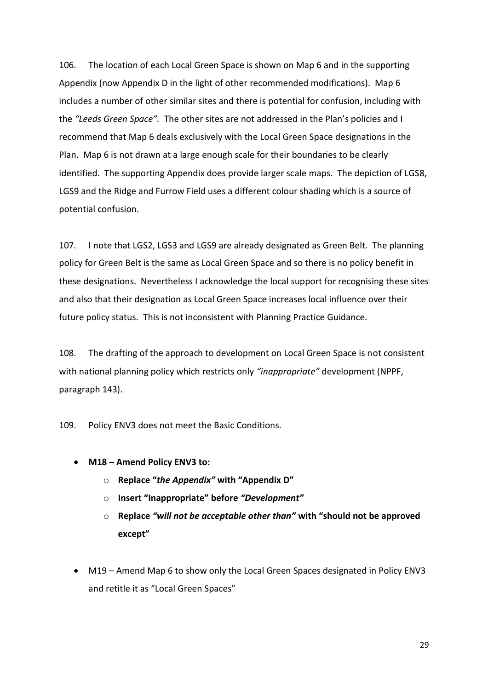106. The location of each Local Green Space is shown on Map 6 and in the supporting Appendix (now Appendix D in the light of other recommended modifications). Map 6 includes a number of other similar sites and there is potential for confusion, including with the *"Leeds Green Space".* The other sites are not addressed in the Plan's policies and I recommend that Map 6 deals exclusively with the Local Green Space designations in the Plan. Map 6 is not drawn at a large enough scale for their boundaries to be clearly identified. The supporting Appendix does provide larger scale maps. The depiction of LGS8, LGS9 and the Ridge and Furrow Field uses a different colour shading which is a source of potential confusion.

107. I note that LGS2, LGS3 and LGS9 are already designated as Green Belt. The planning policy for Green Belt is the same as Local Green Space and so there is no policy benefit in these designations. Nevertheless I acknowledge the local support for recognising these sites and also that their designation as Local Green Space increases local influence over their future policy status. This is not inconsistent with Planning Practice Guidance.

108. The drafting of the approach to development on Local Green Space is not consistent with national planning policy which restricts only *"inappropriate"* development (NPPF, paragraph 143).

109. Policy ENV3 does not meet the Basic Conditions.

- **M18 – Amend Policy ENV3 to:**
	- o **Replace "***the Appendix"* **with "Appendix D"**
	- o **Insert "Inappropriate" before** *"Development"*
	- o **Replace** *"will not be acceptable other than"* **with "should not be approved except"**
- M19 Amend Map 6 to show only the Local Green Spaces designated in Policy ENV3 and retitle it as "Local Green Spaces"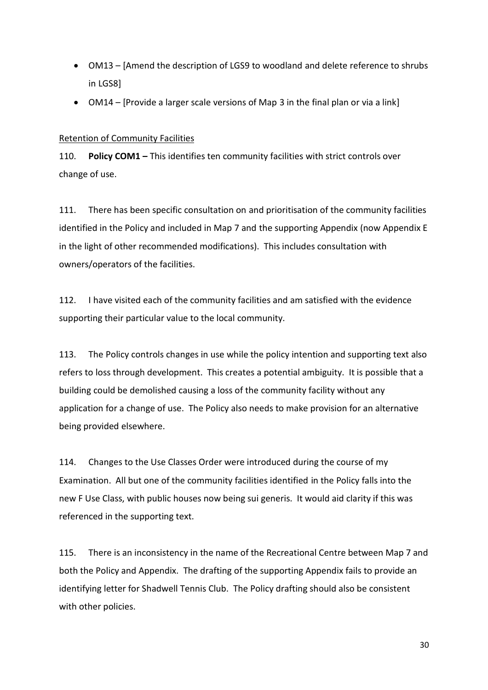- OM13 [Amend the description of LGS9 to woodland and delete reference to shrubs in LGS8]
- OM14 [Provide a larger scale versions of Map 3 in the final plan or via a link]

#### Retention of Community Facilities

110. **Policy COM1 –** This identifies ten community facilities with strict controls over change of use.

111. There has been specific consultation on and prioritisation of the community facilities identified in the Policy and included in Map 7 and the supporting Appendix (now Appendix E in the light of other recommended modifications). This includes consultation with owners/operators of the facilities.

112. I have visited each of the community facilities and am satisfied with the evidence supporting their particular value to the local community.

113. The Policy controls changes in use while the policy intention and supporting text also refers to loss through development. This creates a potential ambiguity. It is possible that a building could be demolished causing a loss of the community facility without any application for a change of use. The Policy also needs to make provision for an alternative being provided elsewhere.

114. Changes to the Use Classes Order were introduced during the course of my Examination. All but one of the community facilities identified in the Policy falls into the new F Use Class, with public houses now being sui generis. It would aid clarity if this was referenced in the supporting text.

115. There is an inconsistency in the name of the Recreational Centre between Map 7 and both the Policy and Appendix. The drafting of the supporting Appendix fails to provide an identifying letter for Shadwell Tennis Club. The Policy drafting should also be consistent with other policies.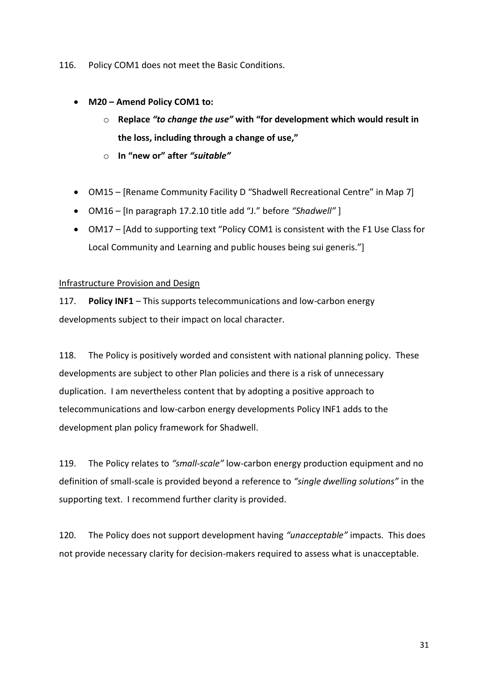116. Policy COM1 does not meet the Basic Conditions.

- **M20 – Amend Policy COM1 to:**
	- o **Replace** *"to change the use"* **with "for development which would result in the loss, including through a change of use,"**
	- o **In "new or" after** *"suitable"*
- OM15 [Rename Community Facility D "Shadwell Recreational Centre" in Map 7]
- OM16 [In paragraph 17.2.10 title add "J." before *"Shadwell"* ]
- OM17 [Add to supporting text "Policy COM1 is consistent with the F1 Use Class for Local Community and Learning and public houses being sui generis."]

#### Infrastructure Provision and Design

117. **Policy INF1** – This supports telecommunications and low-carbon energy developments subject to their impact on local character.

118. The Policy is positively worded and consistent with national planning policy. These developments are subject to other Plan policies and there is a risk of unnecessary duplication. I am nevertheless content that by adopting a positive approach to telecommunications and low-carbon energy developments Policy INF1 adds to the development plan policy framework for Shadwell.

119. The Policy relates to *"small-scale"* low-carbon energy production equipment and no definition of small-scale is provided beyond a reference to *"single dwelling solutions"* in the supporting text. I recommend further clarity is provided.

120. The Policy does not support development having *"unacceptable"* impacts. This does not provide necessary clarity for decision-makers required to assess what is unacceptable.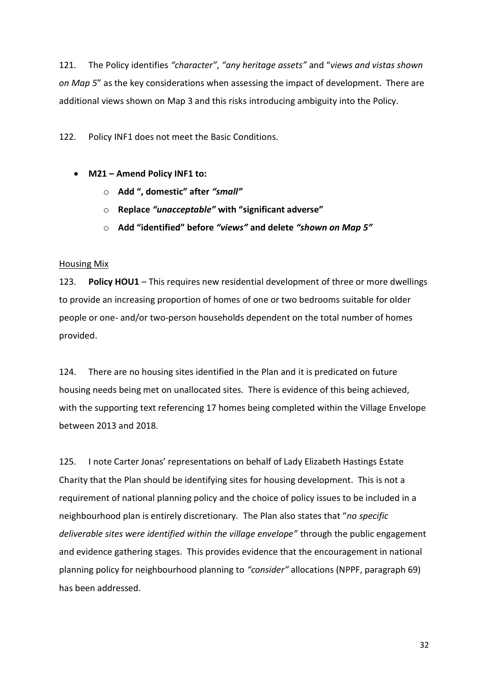121. The Policy identifies *"character"*, *"any heritage assets"* and "*views and vistas shown on Map 5*" as the key considerations when assessing the impact of development. There are additional views shown on Map 3 and this risks introducing ambiguity into the Policy.

122. Policy INF1 does not meet the Basic Conditions.

- **M21 – Amend Policy INF1 to:**
	- o **Add ", domestic" after** *"small"*
	- o **Replace** *"unacceptable"* **with "significant adverse"**
	- o **Add "identified" before** *"views"* **and delete** *"shown on Map 5"*

#### Housing Mix

123. **Policy HOU1** – This requires new residential development of three or more dwellings to provide an increasing proportion of homes of one or two bedrooms suitable for older people or one- and/or two-person households dependent on the total number of homes provided.

124. There are no housing sites identified in the Plan and it is predicated on future housing needs being met on unallocated sites. There is evidence of this being achieved, with the supporting text referencing 17 homes being completed within the Village Envelope between 2013 and 2018.

125. I note Carter Jonas' representations on behalf of Lady Elizabeth Hastings Estate Charity that the Plan should be identifying sites for housing development. This is not a requirement of national planning policy and the choice of policy issues to be included in a neighbourhood plan is entirely discretionary. The Plan also states that "*no specific deliverable sites were identified within the village envelope"* through the public engagement and evidence gathering stages. This provides evidence that the encouragement in national planning policy for neighbourhood planning to *"consider"* allocations (NPPF, paragraph 69) has been addressed.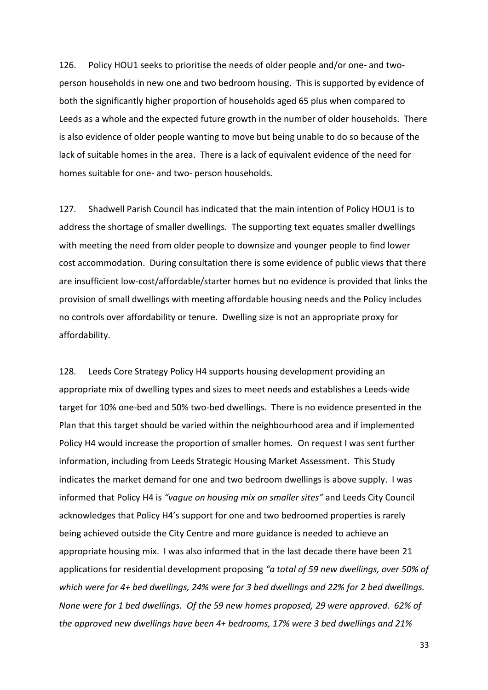126. Policy HOU1 seeks to prioritise the needs of older people and/or one- and twoperson households in new one and two bedroom housing. This is supported by evidence of both the significantly higher proportion of households aged 65 plus when compared to Leeds as a whole and the expected future growth in the number of older households. There is also evidence of older people wanting to move but being unable to do so because of the lack of suitable homes in the area. There is a lack of equivalent evidence of the need for homes suitable for one- and two- person households.

127. Shadwell Parish Council has indicated that the main intention of Policy HOU1 is to address the shortage of smaller dwellings. The supporting text equates smaller dwellings with meeting the need from older people to downsize and younger people to find lower cost accommodation. During consultation there is some evidence of public views that there are insufficient low-cost/affordable/starter homes but no evidence is provided that links the provision of small dwellings with meeting affordable housing needs and the Policy includes no controls over affordability or tenure. Dwelling size is not an appropriate proxy for affordability.

128. Leeds Core Strategy Policy H4 supports housing development providing an appropriate mix of dwelling types and sizes to meet needs and establishes a Leeds-wide target for 10% one-bed and 50% two-bed dwellings. There is no evidence presented in the Plan that this target should be varied within the neighbourhood area and if implemented Policy H4 would increase the proportion of smaller homes. On request I was sent further information, including from Leeds Strategic Housing Market Assessment. This Study indicates the market demand for one and two bedroom dwellings is above supply. I was informed that Policy H4 is *"vague on housing mix on smaller sites"* and Leeds City Council acknowledges that Policy H4's support for one and two bedroomed properties is rarely being achieved outside the City Centre and more guidance is needed to achieve an appropriate housing mix. I was also informed that in the last decade there have been 21 applications for residential development proposing *"a total of 59 new dwellings, over 50% of which were for 4+ bed dwellings, 24% were for 3 bed dwellings and 22% for 2 bed dwellings. None were for 1 bed dwellings. Of the 59 new homes proposed, 29 were approved. 62% of the approved new dwellings have been 4+ bedrooms, 17% were 3 bed dwellings and 21%*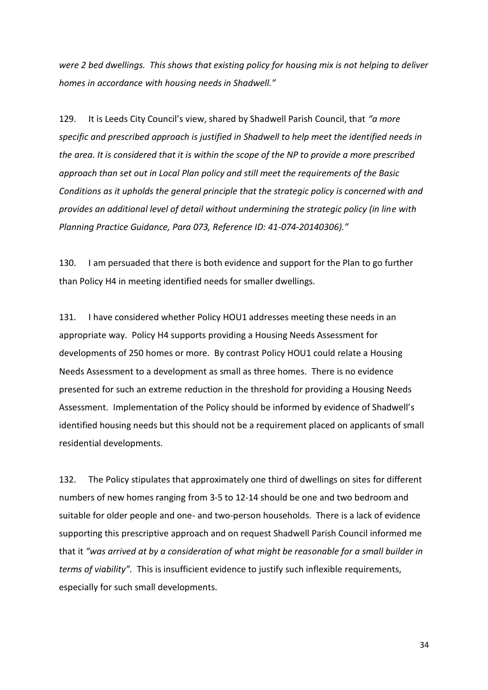*were 2 bed dwellings. This shows that existing policy for housing mix is not helping to deliver homes in accordance with housing needs in Shadwell."*

129. It is Leeds City Council's view, shared by Shadwell Parish Council, that *"a more specific and prescribed approach is justified in Shadwell to help meet the identified needs in the area. It is considered that it is within the scope of the NP to provide a more prescribed approach than set out in Local Plan policy and still meet the requirements of the Basic Conditions as it upholds the general principle that the strategic policy is concerned with and provides an additional level of detail without undermining the strategic policy (in line with Planning Practice Guidance, Para 073, Reference ID: 41-074-20140306)."*

130. I am persuaded that there is both evidence and support for the Plan to go further than Policy H4 in meeting identified needs for smaller dwellings.

131. I have considered whether Policy HOU1 addresses meeting these needs in an appropriate way. Policy H4 supports providing a Housing Needs Assessment for developments of 250 homes or more. By contrast Policy HOU1 could relate a Housing Needs Assessment to a development as small as three homes. There is no evidence presented for such an extreme reduction in the threshold for providing a Housing Needs Assessment. Implementation of the Policy should be informed by evidence of Shadwell's identified housing needs but this should not be a requirement placed on applicants of small residential developments.

132. The Policy stipulates that approximately one third of dwellings on sites for different numbers of new homes ranging from 3-5 to 12-14 should be one and two bedroom and suitable for older people and one- and two-person households. There is a lack of evidence supporting this prescriptive approach and on request Shadwell Parish Council informed me that it *"was arrived at by a consideration of what might be reasonable for a small builder in terms of viability".* This is insufficient evidence to justify such inflexible requirements, especially for such small developments.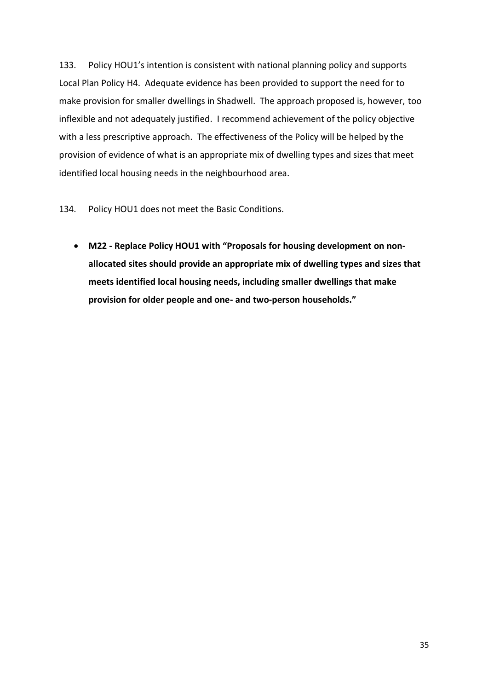133. Policy HOU1's intention is consistent with national planning policy and supports Local Plan Policy H4. Adequate evidence has been provided to support the need for to make provision for smaller dwellings in Shadwell. The approach proposed is, however, too inflexible and not adequately justified. I recommend achievement of the policy objective with a less prescriptive approach. The effectiveness of the Policy will be helped by the provision of evidence of what is an appropriate mix of dwelling types and sizes that meet identified local housing needs in the neighbourhood area.

134. Policy HOU1 does not meet the Basic Conditions.

 **M22 - Replace Policy HOU1 with "Proposals for housing development on nonallocated sites should provide an appropriate mix of dwelling types and sizes that meets identified local housing needs, including smaller dwellings that make provision for older people and one- and two-person households."**